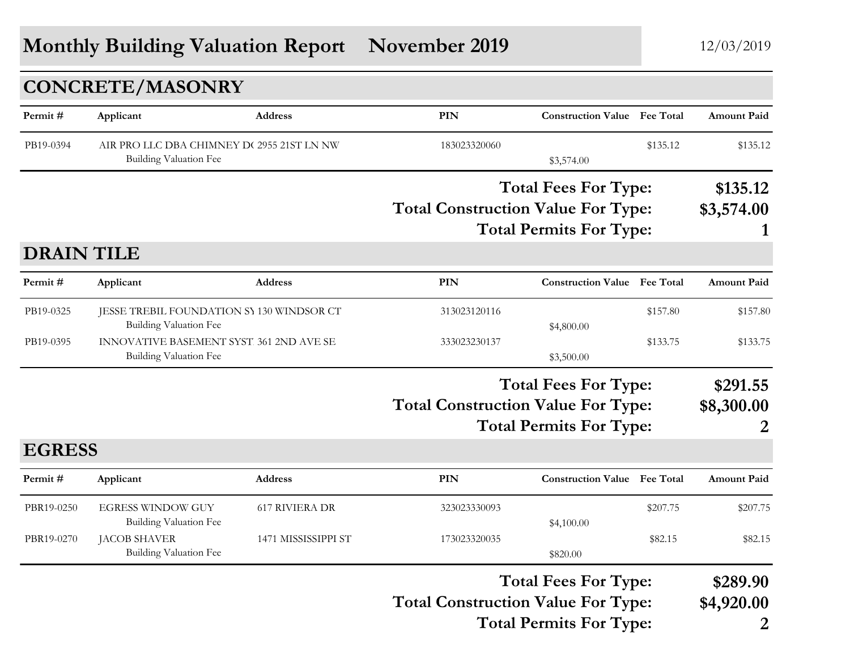# **Monthly Building Valuation Report November 2019** 12/03/2019

|                   | <b>CONCRETE/MASONRY</b>                                                    |                                                                                                            |                                           |                                                               |          |                                          |
|-------------------|----------------------------------------------------------------------------|------------------------------------------------------------------------------------------------------------|-------------------------------------------|---------------------------------------------------------------|----------|------------------------------------------|
| Permit#           | Applicant                                                                  | Address                                                                                                    | <b>PIN</b>                                | <b>Construction Value Fee Total</b>                           |          | <b>Amount Paid</b>                       |
| PB19-0394         | AIR PRO LLC DBA CHIMNEY D(2955 21ST LN NW)<br>Building Valuation Fee       |                                                                                                            | 183023320060                              | \$3,574.00                                                    | \$135.12 | \$135.12                                 |
|                   |                                                                            |                                                                                                            |                                           | <b>Total Fees For Type:</b>                                   |          | \$135.12                                 |
|                   |                                                                            |                                                                                                            | <b>Total Construction Value For Type:</b> | <b>Total Permits For Type:</b>                                |          | \$3,574.00<br>1                          |
| <b>DRAIN TILE</b> |                                                                            |                                                                                                            |                                           |                                                               |          |                                          |
| Permit#           | Applicant                                                                  | Address                                                                                                    | <b>PIN</b>                                | <b>Construction Value Fee Total</b>                           |          | <b>Amount Paid</b>                       |
| PB19-0325         | JESSE TREBIL FOUNDATION SY 130 WINDSOR CT<br><b>Building Valuation Fee</b> |                                                                                                            | 313023120116                              | \$4,800.00                                                    | \$157.80 | \$157.80                                 |
| PB19-0395         | INNOVATIVE BASEMENT SYST. 361 2ND AVE SE<br><b>Building Valuation Fee</b>  |                                                                                                            | 333023230137                              | \$3,500.00                                                    | \$133.75 | \$133.75                                 |
|                   |                                                                            | <b>Total Fees For Type:</b><br><b>Total Construction Value For Type:</b><br><b>Total Permits For Type:</b> |                                           |                                                               |          | \$291.55<br>\$8,300.00                   |
| <b>EGRESS</b>     |                                                                            |                                                                                                            |                                           |                                                               |          |                                          |
| Permit#           | Applicant                                                                  | Address                                                                                                    | <b>PIN</b>                                | <b>Construction Value Fee Total</b>                           |          | <b>Amount Paid</b>                       |
| PBR19-0250        | <b>EGRESS WINDOW GUY</b><br><b>Building Valuation Fee</b>                  | <b>617 RIVIERA DR</b>                                                                                      | 323023330093                              | \$4,100.00                                                    | \$207.75 | \$207.75                                 |
| PBR19-0270        | JACOB SHAVER<br><b>Building Valuation Fee</b>                              | 1471 MISSISSIPPI ST                                                                                        | 173023320035                              | \$820.00                                                      | \$82.15  | \$82.15                                  |
|                   |                                                                            |                                                                                                            | <b>Total Construction Value For Type:</b> | <b>Total Fees For Type:</b><br><b>Total Permits For Type:</b> |          | \$289.90<br>\$4,920.00<br>$\overline{2}$ |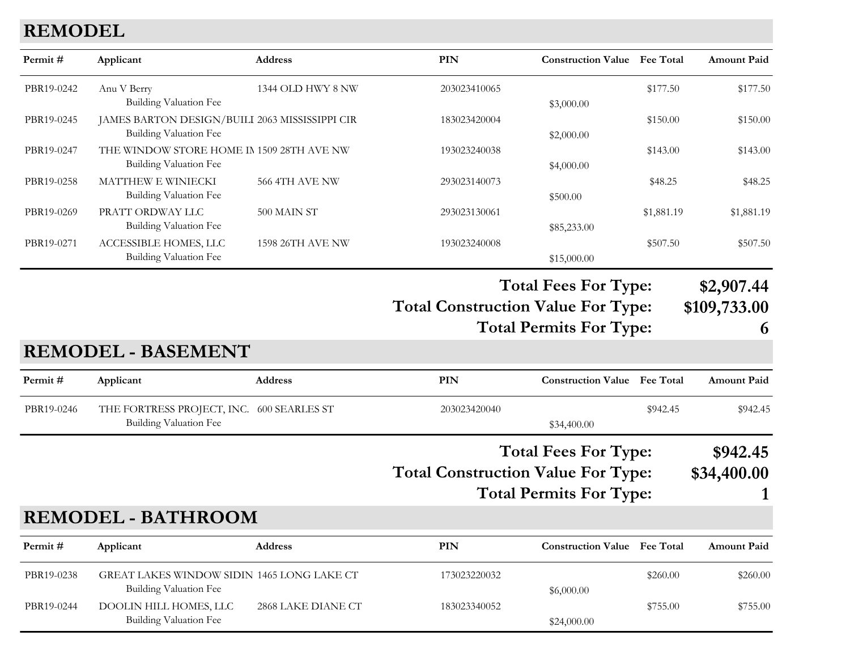# **REMODEL**

| Permit#    | Applicant                                      | Address                 | PIN          | <b>Construction Value</b>                                              | <b>Fee Total</b> | <b>Amount Paid</b> |
|------------|------------------------------------------------|-------------------------|--------------|------------------------------------------------------------------------|------------------|--------------------|
| PBR19-0242 | Anu V Berry                                    | 1344 OLD HWY 8 NW       | 203023410065 |                                                                        | \$177.50         | \$177.50           |
|            | Building Valuation Fee                         |                         |              | \$3,000.00                                                             |                  |                    |
| PBR19-0245 | JAMES BARTON DESIGN/BUILI 2063 MISSISSIPPI CIR |                         | 183023420004 |                                                                        | \$150.00         | \$150.00           |
|            | Building Valuation Fee                         |                         |              | \$2,000.00                                                             |                  |                    |
| PBR19-0247 | THE WINDOW STORE HOME IN 1509 28TH AVE NW      |                         | 193023240038 |                                                                        | \$143.00         | \$143.00           |
|            | Building Valuation Fee                         |                         |              | \$4,000.00                                                             |                  |                    |
| PBR19-0258 | <b>MATTHEW E WINIECKI</b>                      | <b>566 4TH AVE NW</b>   | 293023140073 |                                                                        | \$48.25          | \$48.25            |
|            | Building Valuation Fee                         |                         |              | \$500.00                                                               |                  |                    |
| PBR19-0269 | PRATT ORDWAY LLC                               | 500 MAIN ST             | 293023130061 |                                                                        | \$1,881.19       | \$1,881.19         |
|            | Building Valuation Fee                         |                         |              | \$85,233.00                                                            |                  |                    |
| PBR19-0271 | ACCESSIBLE HOMES, LLC                          | <b>1598 26TH AVE NW</b> | 193023240008 |                                                                        | \$507.50         | \$507.50           |
|            | Building Valuation Fee                         |                         |              | \$15,000.00                                                            |                  |                    |
|            |                                                |                         |              | <b>HI.IT</b><br>$\mathbf{\mathbf{\mathbf{\mathbf{\mathbf{H}}}}}$<br>т. |                  |                    |

**Total Fees For Type: \$2,907.44**

**Total Construction Value For Type: \$109,733.00 Total Permits For Type: 6**

### **REMODEL - BASEMENT**

| Permit #   | Applicant                                 | <b>Address</b> | PIN          | <b>Construction Value</b> Fee Total |          | <b>Amount Paid</b> |
|------------|-------------------------------------------|----------------|--------------|-------------------------------------|----------|--------------------|
| PBR19-0246 | THE FORTRESS PROJECT, INC. 600 SEARLES ST |                | 203023420040 |                                     | \$942.45 | \$942.45           |
|            | Building Valuation Fee                    |                |              | \$34,400.00                         |          |                    |

# **Total Construction Value For Type: \$34,400.00 Total Fees For Type: \$942.45**

**Total Permits For Type: 1**

# **REMODEL - BATHROOM**

| Permit#    | Applicant                                                            | <b>Address</b>     | PIN          | <b>Construction Value</b> Fee Total |          | <b>Amount Paid</b> |
|------------|----------------------------------------------------------------------|--------------------|--------------|-------------------------------------|----------|--------------------|
| PBR19-0238 | GREAT LAKES WINDOW SIDIN 1465 LONG LAKE CT<br>Building Valuation Fee |                    | 173023220032 | \$6,000.00                          | \$260.00 | \$260.00           |
| PBR19-0244 | DOOLIN HILL HOMES, LLC<br>Building Valuation Fee                     | 2868 LAKE DIANE CT | 183023340052 | \$24,000.00                         | \$755.00 | \$755.00           |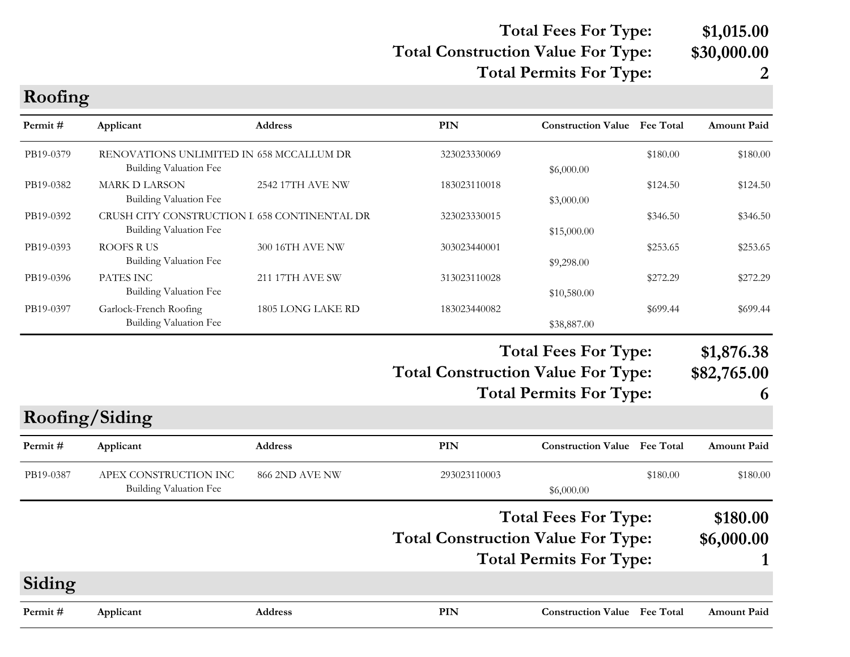# **Total Construction Value For Type: \$30,000.00 Total Fees For Type: \$1,015.00**

**Total Permits For Type: 2**

| PIN<br><b>Construction Value</b> Fee Total<br>Permit#<br>Applicant<br>Address<br>PB19-0379<br>RENOVATIONS UNLIMITED IN 658 MCCALLUM DR<br>\$180.00<br>323023330069<br>Building Valuation Fee<br>\$6,000.00<br>PB19-0382<br><b>MARK D LARSON</b><br>2542 17TH AVE NW<br>183023110018<br>\$124.50<br>Building Valuation Fee<br>\$3,000.00<br>CRUSH CITY CONSTRUCTION I 658 CONTINENTAL DR<br>PB19-0392<br>323023330015<br>\$346.50<br><b>Building Valuation Fee</b><br>\$15,000.00<br><b>ROOFS RUS</b><br>PB19-0393<br>300 16TH AVE NW<br>303023440001<br>\$253.65<br>Building Valuation Fee<br>\$9,298.00<br>PATES INC<br>PB19-0396<br><b>211 17TH AVE SW</b><br>\$272.29<br>313023110028<br><b>Building Valuation Fee</b><br>\$10,580.00<br>PB19-0397<br>Garlock-French Roofing<br>1805 LONG LAKE RD<br>\$699.44<br>183023440082<br><b>Building Valuation Fee</b><br>\$38,887.00<br><b>Total Fees For Type:</b><br><b>Total Construction Value For Type:</b><br><b>Total Permits For Type:</b><br>Roofing/Siding<br><b>PIN</b><br><b>Construction Value Fee Total</b><br>Address<br>Permit #<br>Applicant<br>APEX CONSTRUCTION INC<br>PB19-0387<br>866 2ND AVE NW<br>293023110003<br>\$180.00<br><b>Building Valuation Fee</b><br>\$6,000.00<br><b>Total Fees For Type:</b><br><b>Total Construction Value For Type:</b><br><b>Total Permits For Type:</b><br>Siding | Roofing |  |  |                           |
|----------------------------------------------------------------------------------------------------------------------------------------------------------------------------------------------------------------------------------------------------------------------------------------------------------------------------------------------------------------------------------------------------------------------------------------------------------------------------------------------------------------------------------------------------------------------------------------------------------------------------------------------------------------------------------------------------------------------------------------------------------------------------------------------------------------------------------------------------------------------------------------------------------------------------------------------------------------------------------------------------------------------------------------------------------------------------------------------------------------------------------------------------------------------------------------------------------------------------------------------------------------------------------------------------------------------------------------------------------------------|---------|--|--|---------------------------|
|                                                                                                                                                                                                                                                                                                                                                                                                                                                                                                                                                                                                                                                                                                                                                                                                                                                                                                                                                                                                                                                                                                                                                                                                                                                                                                                                                                      |         |  |  | <b>Amount Paid</b>        |
|                                                                                                                                                                                                                                                                                                                                                                                                                                                                                                                                                                                                                                                                                                                                                                                                                                                                                                                                                                                                                                                                                                                                                                                                                                                                                                                                                                      |         |  |  | \$180.00                  |
|                                                                                                                                                                                                                                                                                                                                                                                                                                                                                                                                                                                                                                                                                                                                                                                                                                                                                                                                                                                                                                                                                                                                                                                                                                                                                                                                                                      |         |  |  | \$124.50                  |
|                                                                                                                                                                                                                                                                                                                                                                                                                                                                                                                                                                                                                                                                                                                                                                                                                                                                                                                                                                                                                                                                                                                                                                                                                                                                                                                                                                      |         |  |  | \$346.50                  |
|                                                                                                                                                                                                                                                                                                                                                                                                                                                                                                                                                                                                                                                                                                                                                                                                                                                                                                                                                                                                                                                                                                                                                                                                                                                                                                                                                                      |         |  |  | \$253.65                  |
|                                                                                                                                                                                                                                                                                                                                                                                                                                                                                                                                                                                                                                                                                                                                                                                                                                                                                                                                                                                                                                                                                                                                                                                                                                                                                                                                                                      |         |  |  | \$272.29                  |
|                                                                                                                                                                                                                                                                                                                                                                                                                                                                                                                                                                                                                                                                                                                                                                                                                                                                                                                                                                                                                                                                                                                                                                                                                                                                                                                                                                      |         |  |  | \$699.44                  |
|                                                                                                                                                                                                                                                                                                                                                                                                                                                                                                                                                                                                                                                                                                                                                                                                                                                                                                                                                                                                                                                                                                                                                                                                                                                                                                                                                                      |         |  |  | \$1,876.38<br>\$82,765.00 |
|                                                                                                                                                                                                                                                                                                                                                                                                                                                                                                                                                                                                                                                                                                                                                                                                                                                                                                                                                                                                                                                                                                                                                                                                                                                                                                                                                                      |         |  |  | 6                         |
|                                                                                                                                                                                                                                                                                                                                                                                                                                                                                                                                                                                                                                                                                                                                                                                                                                                                                                                                                                                                                                                                                                                                                                                                                                                                                                                                                                      |         |  |  |                           |
|                                                                                                                                                                                                                                                                                                                                                                                                                                                                                                                                                                                                                                                                                                                                                                                                                                                                                                                                                                                                                                                                                                                                                                                                                                                                                                                                                                      |         |  |  | <b>Amount Paid</b>        |
|                                                                                                                                                                                                                                                                                                                                                                                                                                                                                                                                                                                                                                                                                                                                                                                                                                                                                                                                                                                                                                                                                                                                                                                                                                                                                                                                                                      |         |  |  | \$180.00                  |
|                                                                                                                                                                                                                                                                                                                                                                                                                                                                                                                                                                                                                                                                                                                                                                                                                                                                                                                                                                                                                                                                                                                                                                                                                                                                                                                                                                      |         |  |  | \$180.00                  |
|                                                                                                                                                                                                                                                                                                                                                                                                                                                                                                                                                                                                                                                                                                                                                                                                                                                                                                                                                                                                                                                                                                                                                                                                                                                                                                                                                                      |         |  |  | \$6,000.00                |
|                                                                                                                                                                                                                                                                                                                                                                                                                                                                                                                                                                                                                                                                                                                                                                                                                                                                                                                                                                                                                                                                                                                                                                                                                                                                                                                                                                      |         |  |  |                           |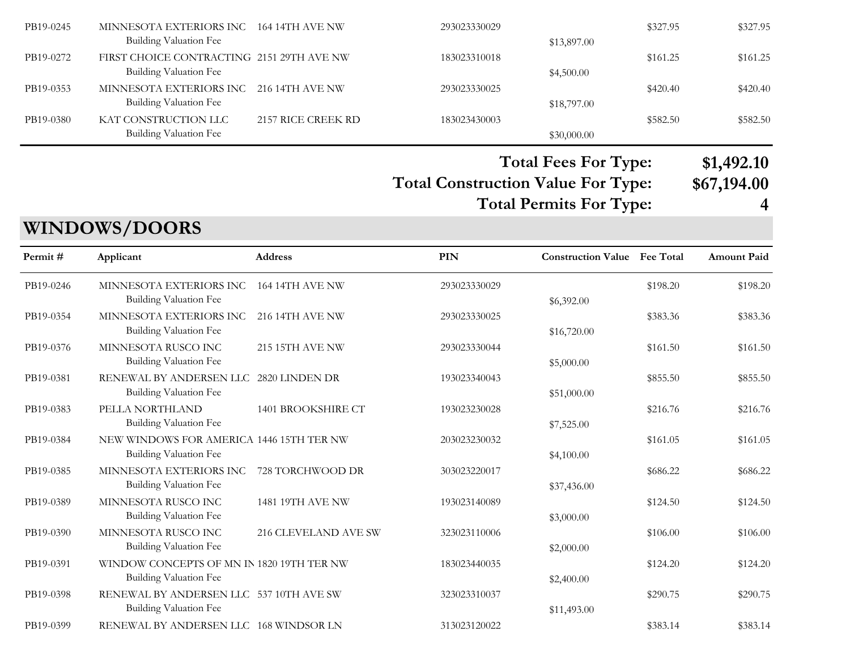| PB19-0245 | MINNESOTA EXTERIORS INC 164 14TH AVE NW   |                    | 293023330029 |             | \$327.95 | \$327.95 |
|-----------|-------------------------------------------|--------------------|--------------|-------------|----------|----------|
|           | Building Valuation Fee                    |                    |              | \$13,897.00 |          |          |
| PB19-0272 | FIRST CHOICE CONTRACTING 2151 29TH AVE NW |                    | 183023310018 |             | \$161.25 | \$161.25 |
|           | <b>Building Valuation Fee</b>             |                    |              | \$4,500.00  |          |          |
| PB19-0353 | MINNESOTA EXTERIORS INC 216 14TH AVE NW   |                    | 293023330025 |             | \$420.40 | \$420.40 |
|           | Building Valuation Fee                    |                    |              | \$18,797.00 |          |          |
| PB19-0380 | KAT CONSTRUCTION LLC                      | 2157 RICE CREEK RD | 183023430003 |             | \$582.50 | \$582.50 |
|           | <b>Building Valuation Fee</b>             |                    |              | \$30,000.00 |          |          |

# **Total Construction Value For Type: \$67,194.00 Total Fees For Type: \$1,492.10 Total Permits For Type: 4**

# **WINDOWS/DOORS**

| Permit#   | Applicant                                                           | <b>Address</b>         | PIN          | <b>Construction Value</b> | <b>Fee Total</b> | <b>Amount Paid</b> |
|-----------|---------------------------------------------------------------------|------------------------|--------------|---------------------------|------------------|--------------------|
| PB19-0246 | MINNESOTA EXTERIORS INC<br><b>Building Valuation Fee</b>            | <b>164 14TH AVE NW</b> | 293023330029 | \$6,392.00                | \$198.20         | \$198.20           |
| PB19-0354 | MINNESOTA EXTERIORS INC<br>Building Valuation Fee                   | <b>216 14TH AVE NW</b> | 293023330025 | \$16,720.00               | \$383.36         | \$383.36           |
| PB19-0376 | MINNESOTA RUSCO INC<br>Building Valuation Fee                       | <b>215 15TH AVE NW</b> | 293023330044 | \$5,000.00                | \$161.50         | \$161.50           |
| PB19-0381 | RENEWAL BY ANDERSEN LLC<br>Building Valuation Fee                   | 2820 LINDEN DR         | 193023340043 | \$51,000.00               | \$855.50         | \$855.50           |
| PB19-0383 | PELLA NORTHLAND<br><b>Building Valuation Fee</b>                    | 1401 BROOKSHIRE CT     | 193023230028 | \$7,525.00                | \$216.76         | \$216.76           |
| PB19-0384 | NEW WINDOWS FOR AMERICA 1446 15TH TER NW<br>Building Valuation Fee  |                        | 203023230032 | \$4,100.00                | \$161.05         | \$161.05           |
| PB19-0385 | MINNESOTA EXTERIORS INC<br><b>Building Valuation Fee</b>            | 728 TORCHWOOD DR       | 303023220017 | \$37,436.00               | \$686.22         | \$686.22           |
| PB19-0389 | MINNESOTA RUSCO INC<br>Building Valuation Fee                       | 1481 19TH AVE NW       | 193023140089 | \$3,000.00                | \$124.50         | \$124.50           |
| PB19-0390 | MINNESOTA RUSCO INC<br>Building Valuation Fee                       | 216 CLEVELAND AVE SW   | 323023110006 | \$2,000.00                | \$106.00         | \$106.00           |
| PB19-0391 | WINDOW CONCEPTS OF MN IN 1820 19TH TER NW<br>Building Valuation Fee |                        | 183023440035 | \$2,400.00                | \$124.20         | \$124.20           |
| PB19-0398 | RENEWAL BY ANDERSEN LLC 537 10TH AVE SW<br>Building Valuation Fee   |                        | 323023310037 | \$11,493.00               | \$290.75         | \$290.75           |
| PB19-0399 | RENEWAL BY ANDERSEN LLC 168 WINDSOR LN                              |                        | 313023120022 |                           | \$383.14         | \$383.14           |